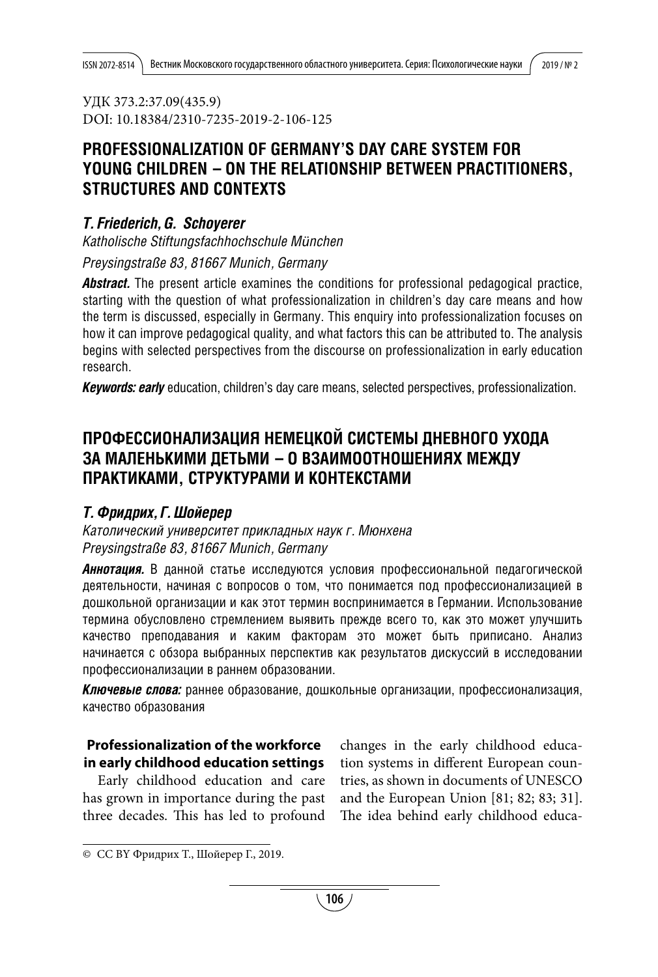УДК 373.2:37.09(435.9) DOI: 10.18384/2310-7235-2019-2-106-125

# **PROFESSIONALIZATION OF GERMANY'S DAY CARE SYSTEM FOR YOUNG CHILDREN – ON THE RELATIONSHIP BETWEEN PRACTITIONERS, STRUCTURES AND CONTEXTS**

## *T. Friederich, G.  Schoyerer*

*Katholische Stiftungsfachhochschule München Preysingstraße 83, 81667 Munich, Germany*

**Abstract.** The present article examines the conditions for professional pedagogical practice, starting with the question of what professionalization in children's day care means and how the term is discussed, especially in Germany. This enquiry into professionalization focuses on how it can improve pedagogical quality, and what factors this can be attributed to. The analysis begins with selected perspectives from the discourse on professionalization in early education research.

*Keywords: early* education, children's day care means, selected perspectives, professionalization.

# **ПроФеССионаЛиЗаЦиЯ неМеЦКоЙ СиСТеМЫ днеВноГо УХода За МаЛенЬКиМи деТЬМи – о ВЗаиМооТноШениЯХ МеждУ ПраКТиКаМи, СТрУКТУраМи и КонТеКСТаМи**

## *Т. Фридрих, Г. Шойерер*

*Католический университет прикладных наук г. Мюнхена Preysingstraße 83, 81667 Munich, Germany*

*Аннотация.* В данной статье исследуются условия профессиональной педагогической деятельности, начиная с вопросов о том, что понимается под профессионализацией в дошкольной организации и как этот термин воспринимается в Германии. Использование термина обусловлено стремлением выявить прежде всего то, как это может улучшить качество преподавания и каким факторам это может быть приписано. Анализ начинается с обзора выбранных перспектив как результатов дискуссий в исследовании профессионализации в раннем образовании.

*Ключевые слова:* раннее образование, дошкольные организации, профессионализация, качество образования

## **Professionalization of the workforce in early childhood education settings**

Early childhood education and care has grown in importance during the past three decades. This has led to profound

changes in the early childhood education systems in different European countries, as shown in documents of UNESCO and the European Union [81; 82; 83; 31]. The idea behind early childhood educa-

<sup>©</sup> CC BY Фридрих Т., Шойерер Г., 2019.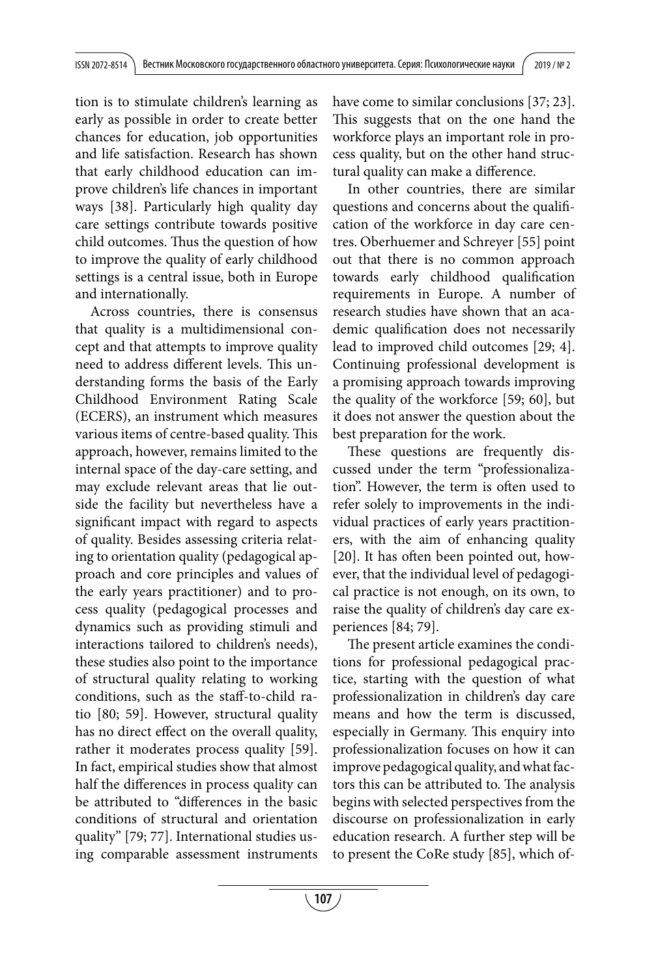tion is to stimulate children's learning as early as possible in order to create better chances for education, job opportunities and life satisfaction. Research has shown that early childhood education can improve children's life chances in important ways [38]. Particularly high quality day care settings contribute towards positive child outcomes. Thus the question of how to improve the quality of early childhood settings is a central issue, both in Europe and internationally.

Across countries, there is consensus that quality is a multidimensional concept and that attempts to improve quality need to address different levels. This understanding forms the basis of the Early Childhood Environment Rating Scale (ECERS), an instrument which measures various items of centre-based quality. This approach, however, remains limited to the internal space of the day-care setting, and may exclude relevant areas that lie outside the facility but nevertheless have a significant impact with regard to aspects of quality. Besides assessing criteria relating to orientation quality (pedagogical approach and core principles and values of the early years practitioner) and to process quality (pedagogical processes and dynamics such as providing stimuli and interactions tailored to children's needs), these studies also point to the importance of structural quality relating to working conditions, such as the staff-to-child ratio [80; 59]. However, structural quality has no direct effect on the overall quality, rather it moderates process quality [59]. In fact, empirical studies show that almost half the differences in process quality can be attributed to "differences in the basic conditions of structural and orientation quality" [79; 77]. International studies using comparable assessment instruments

have come to similar conclusions [37; 23]. This suggests that on the one hand the workforce plays an important role in process quality, but on the other hand structural quality can make a difference.

In other countries, there are similar questions and concerns about the qualification of the workforce in day care centres. Oberhuemer and Schreyer [55] point out that there is no common approach towards early childhood qualification requirements in Europe. A number of research studies have shown that an academic qualification does not necessarily lead to improved child outcomes [29; 4]. Continuing professional development is a promising approach towards improving the quality of the workforce [59; 60], but it does not answer the question about the best preparation for the work.

These questions are frequently discussed under the term "professionalization". However, the term is often used to refer solely to improvements in the individual practices of early years practitioners, with the aim of enhancing quality [20]. It has often been pointed out, however, that the individual level of pedagogical practice is not enough, on its own, to raise the quality of children's day care experiences [84; 79].

The present article examines the conditions for professional pedagogical practice, starting with the question of what professionalization in children's day care means and how the term is discussed, especially in Germany. This enquiry into professionalization focuses on how it can improve pedagogical quality, and what factors this can be attributed to. The analysis begins with selected perspectives from the discourse on professionalization in early education research. A further step will be to present the CoRe study [85], which of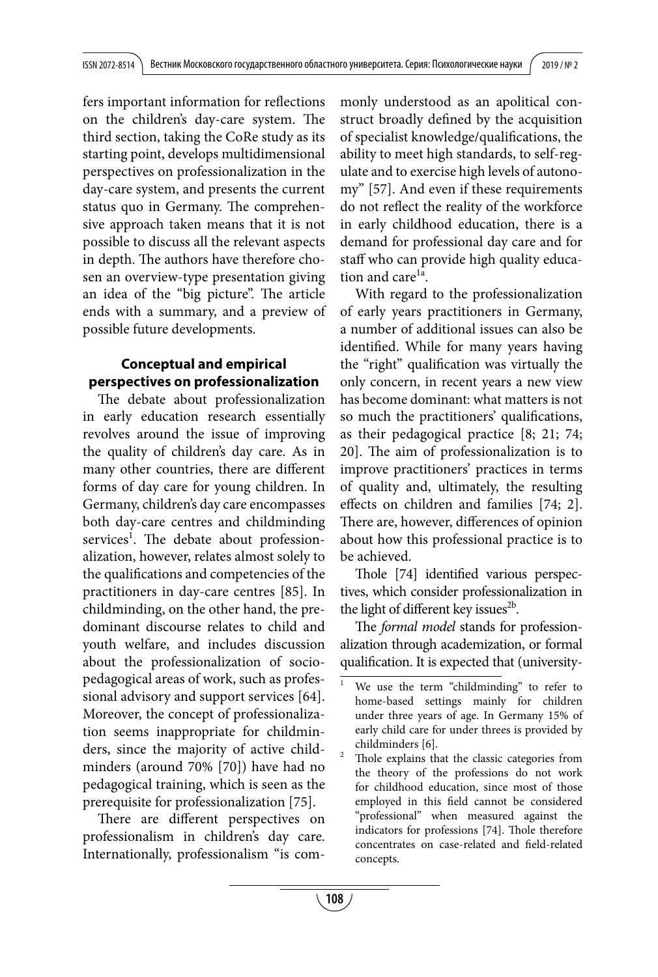fers important information for reflections on the children's day-care system. The third section, taking the CoRe study as its starting point, develops multidimensional perspectives on professionalization in the day-care system, and presents the current status quo in Germany. The comprehensive approach taken means that it is not possible to discuss all the relevant aspects in depth. The authors have therefore chosen an overview-type presentation giving an idea of the "big picture". The article ends with a summary, and a preview of possible future developments.

## **Conceptual and empirical perspectives on professionalization**

The debate about professionalization in early education research essentially revolves around the issue of improving the quality of children's day care. As in many other countries, there are different forms of day care for young children. In Germany, children's day care encompasses both day-care centres and childminding services<sup>1</sup>. The debate about professionalization, however, relates almost solely to the qualifications and competencies of the practitioners in day-care centres [85]. In childminding, on the other hand, the predominant discourse relates to child and youth welfare, and includes discussion about the professionalization of sociopedagogical areas of work, such as professional advisory and support services [64]. Moreover, the concept of professionalization seems inappropriate for childminders, since the majority of active childminders (around 70% [70]) have had no pedagogical training, which is seen as the prerequisite for professionalization [75].

There are different perspectives on professionalism in children's day care. Internationally, professionalism "is commonly understood as an apolitical construct broadly defined by the acquisition of specialist knowledge/qualifications, the ability to meet high standards, to self-regulate and to exercise high levels of autonomy" [57]. And even if these requirements do not reflect the reality of the workforce in early childhood education, there is a demand for professional day care and for staff who can provide high quality education and care $1a$ .

With regard to the professionalization of early years practitioners in Germany, a number of additional issues can also be identified. While for many years having the "right" qualification was virtually the only concern, in recent years a new view has become dominant: what matters is not so much the practitioners' qualifications, as their pedagogical practice [8; 21; 74; 20]. The aim of professionalization is to improve practitioners' practices in terms of quality and, ultimately, the resulting effects on children and families [74; 2]. There are, however, differences of opinion about how this professional practice is to be achieved.

Thole [74] identified various perspectives, which consider professionalization in the light of different key issues $^{2b}$ .

The *formal model* stands for professionalization through academization, or formal qualification. It is expected that (university-

We use the term "childminding" to refer to home-based settings mainly for children under three years of age. In Germany 15% of early child care for under threes is provided by childminders [6].

Thole explains that the classic categories from the theory of the professions do not work for childhood education, since most of those employed in this field cannot be considered "professional" when measured against the indicators for professions [74]. Thole therefore concentrates on case-related and field-related concepts.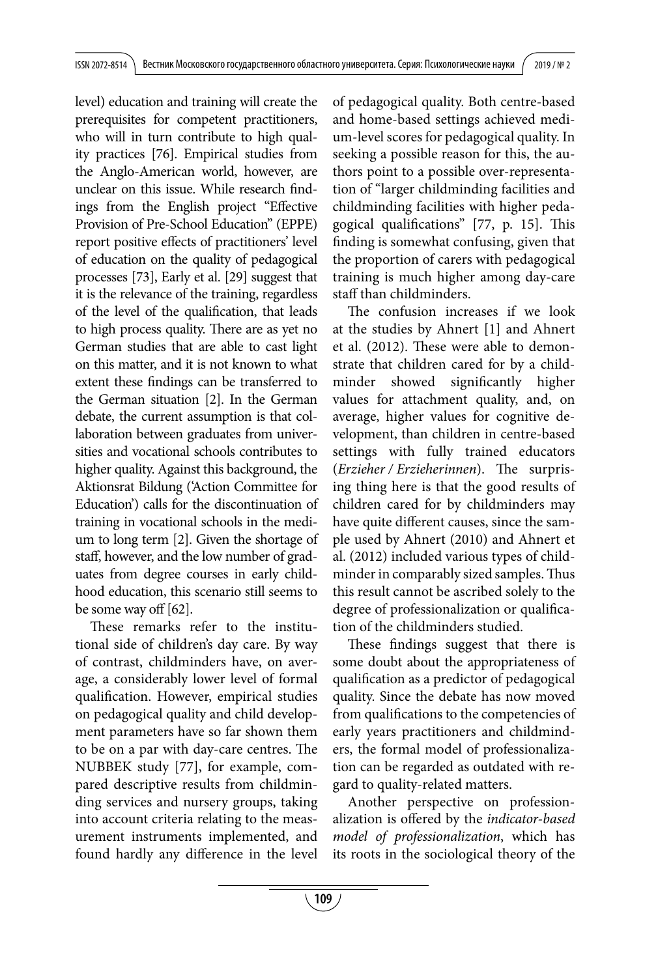level) education and training will create the prerequisites for competent practitioners, who will in turn contribute to high quality practices [76]. Empirical studies from the Anglo-American world, however, are unclear on this issue. While research findings from the English project "Effective Provision of Pre-School Education" (EPPE) report positive effects of practitioners' level of education on the quality of pedagogical processes [73], Early et al. [29] suggest that it is the relevance of the training, regardless of the level of the qualification, that leads to high process quality. There are as yet no German studies that are able to cast light on this matter, and it is not known to what extent these findings can be transferred to the German situation [2]. In the German debate, the current assumption is that collaboration between graduates from universities and vocational schools contributes to higher quality. Against this background, the Aktionsrat Bildung ('Action Committee for Education') calls for the discontinuation of training in vocational schools in the medium to long term [2]. Given the shortage of staff, however, and the low number of graduates from degree courses in early childhood education, this scenario still seems to be some way off [62].

These remarks refer to the institutional side of children's day care. By way of contrast, childminders have, on average, a considerably lower level of formal qualification. However, empirical studies on pedagogical quality and child development parameters have so far shown them to be on a par with day-care centres. The NUBBEK study [77], for example, compared descriptive results from childminding services and nursery groups, taking into account criteria relating to the measurement instruments implemented, and found hardly any difference in the level of pedagogical quality. Both centre-based and home-based settings achieved medium-level scores for pedagogical quality. In seeking a possible reason for this, the authors point to a possible over-representation of "larger childminding facilities and childminding facilities with higher pedagogical qualifications" [77, p. 15]. This finding is somewhat confusing, given that the proportion of carers with pedagogical training is much higher among day-care staff than childminders.

The confusion increases if we look at the studies by Ahnert [1] and Ahnert et al. (2012). These were able to demonstrate that children cared for by a childminder showed significantly higher values for attachment quality, and, on average, higher values for cognitive development, than children in centre-based settings with fully trained educators (*Erzieher / Erzieherinnen*). The surprising thing here is that the good results of children cared for by childminders may have quite different causes, since the sample used by Ahnert (2010) and Ahnert et al. (2012) included various types of childminder in comparably sized samples. Thus this result cannot be ascribed solely to the degree of professionalization or qualification of the childminders studied.

These findings suggest that there is some doubt about the appropriateness of qualification as a predictor of pedagogical quality. Since the debate has now moved from qualifications to the competencies of early years practitioners and childminders, the formal model of professionalization can be regarded as outdated with regard to quality-related matters.

Another perspective on professionalization is offered by the *indicator-based model of professionalization*, which has its roots in the sociological theory of the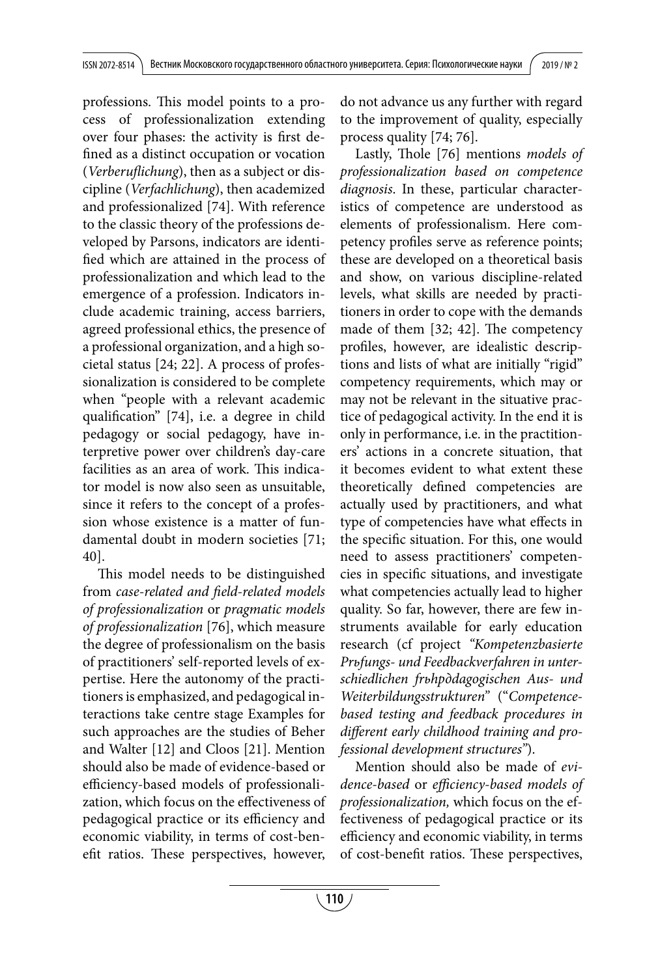professions. This model points to a process of professionalization extending over four phases: the activity is first defined as a distinct occupation or vocation (*Verberuflichung*), then as a subject or discipline (*Verfachlichung*), then academized and professionalized [74]. With reference to the classic theory of the professions developed by Parsons, indicators are identified which are attained in the process of professionalization and which lead to the emergence of a profession. Indicators include academic training, access barriers, agreed professional ethics, the presence of a professional organization, and a high societal status [24; 22]. A process of professionalization is considered to be complete when "people with a relevant academic qualification" [74], i.e. a degree in child pedagogy or social pedagogy, have interpretive power over children's day-care facilities as an area of work. This indicator model is now also seen as unsuitable, since it refers to the concept of a profession whose existence is a matter of fundamental doubt in modern societies [71; 40].

This model needs to be distinguished from *case-related and field-related models of professionalization* or *pragmatic models of professionalization* [76], which measure the degree of professionalism on the basis of practitioners' self-reported levels of expertise. Here the autonomy of the practitioners is emphasized, and pedagogical interactions take centre stage Examples for such approaches are the studies of Beher and Walter [12] and Cloos [21]. Mention should also be made of evidence-based or efficiency-based models of professionalization, which focus on the effectiveness of pedagogical practice or its efficiency and economic viability, in terms of cost-benefit ratios. These perspectives, however, do not advance us any further with regard to the improvement of quality, especially process quality [74; 76].

Lastly, Thole [76] mentions *models of professionalization based on competence diagnosis*. In these, particular characteristics of competence are understood as elements of professionalism. Here competency profiles serve as reference points; these are developed on a theoretical basis and show, on various discipline-related levels, what skills are needed by practitioners in order to cope with the demands made of them [32; 42]. The competency profiles, however, are idealistic descriptions and lists of what are initially "rigid" competency requirements, which may or may not be relevant in the situative practice of pedagogical activity. In the end it is only in performance, i.e. in the practitioners' actions in a concrete situation, that it becomes evident to what extent these theoretically defined competencies are actually used by practitioners, and what type of competencies have what effects in the specific situation. For this, one would need to assess practitioners' competencies in specific situations, and investigate what competencies actually lead to higher quality. So far, however, there are few instruments available for early education research (cf project *"Kompetenzbasierte Prьfungs- und Feedbackverfahren in unterschiedlichen frьhpдdagogischen Aus- und Weiterbildungsstrukturen"* ("*Competencebased testing and feedback procedures in different early childhood training and professional development structures"*).

Mention should also be made of *evidence-based* or *efficiency-based models of professionalization,* which focus on the effectiveness of pedagogical practice or its efficiency and economic viability, in terms of cost-benefit ratios. These perspectives,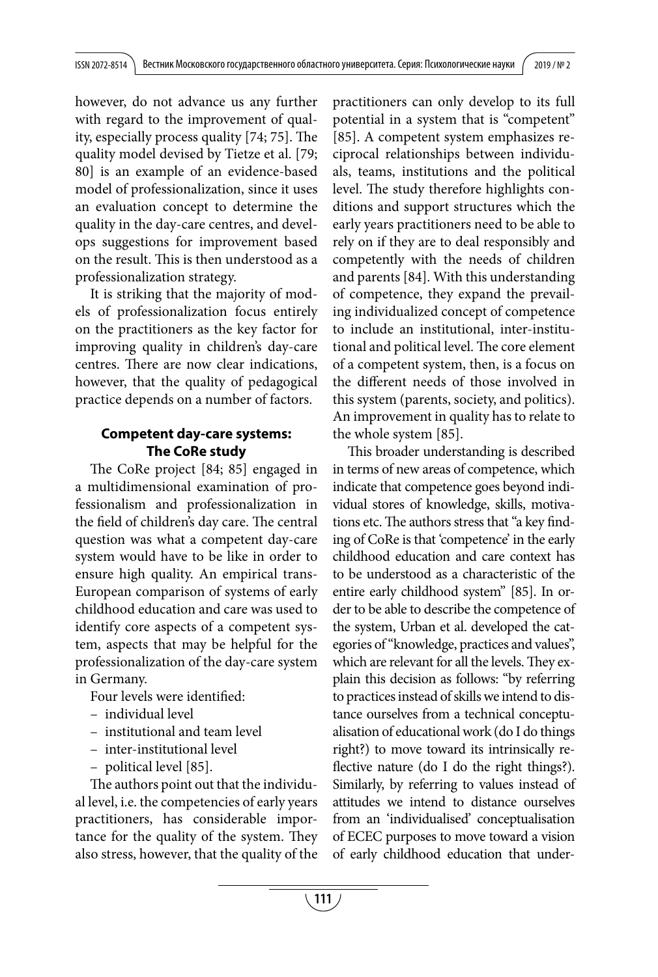however, do not advance us any further with regard to the improvement of quality, especially process quality [74; 75]. The quality model devised by Tietze et al. [79; 80] is an example of an evidence-based model of professionalization, since it uses an evaluation concept to determine the quality in the day-care centres, and develops suggestions for improvement based on the result. This is then understood as a professionalization strategy.

It is striking that the majority of models of professionalization focus entirely on the practitioners as the key factor for improving quality in children's day-care centres. There are now clear indications, however, that the quality of pedagogical practice depends on a number of factors.

#### **Competent day-care systems: The CoRe study**

The CoRe project [84; 85] engaged in a multidimensional examination of professionalism and professionalization in the field of children's day care. The central question was what a competent day-care system would have to be like in order to ensure high quality. An empirical trans-European comparison of systems of early childhood education and care was used to identify core aspects of a competent system, aspects that may be helpful for the professionalization of the day-care system in Germany.

Four levels were identified:

- individual level
- institutional and team level
- inter-institutional level
- political level [85].

The authors point out that the individual level, i.e. the competencies of early years practitioners, has considerable importance for the quality of the system. They also stress, however, that the quality of the practitioners can only develop to its full potential in a system that is "competent" [85]. A competent system emphasizes reciprocal relationships between individuals, teams, institutions and the political level. The study therefore highlights conditions and support structures which the early years practitioners need to be able to rely on if they are to deal responsibly and competently with the needs of children and parents [84]. With this understanding of competence, they expand the prevailing individualized concept of competence to include an institutional, inter-institutional and political level. The core element of a competent system, then, is a focus on the different needs of those involved in this system (parents, society, and politics). An improvement in quality has to relate to the whole system [85].

This broader understanding is described in terms of new areas of competence, which indicate that competence goes beyond individual stores of knowledge, skills, motivations etc. The authors stress that "a key finding of CoRe is that 'competence' in the early childhood education and care context has to be understood as a characteristic of the entire early childhood system" [85]. In order to be able to describe the competence of the system, Urban et al. developed the categories of "knowledge, practices and values", which are relevant for all the levels. They explain this decision as follows: "by referring to practices instead of skills we intend to distance ourselves from a technical conceptualisation of educational work (do I do things right?) to move toward its intrinsically reflective nature (do I do the right things?). Similarly, by referring to values instead of attitudes we intend to distance ourselves from an 'individualised' conceptualisation of ECEC purposes to move toward a vision of early childhood education that under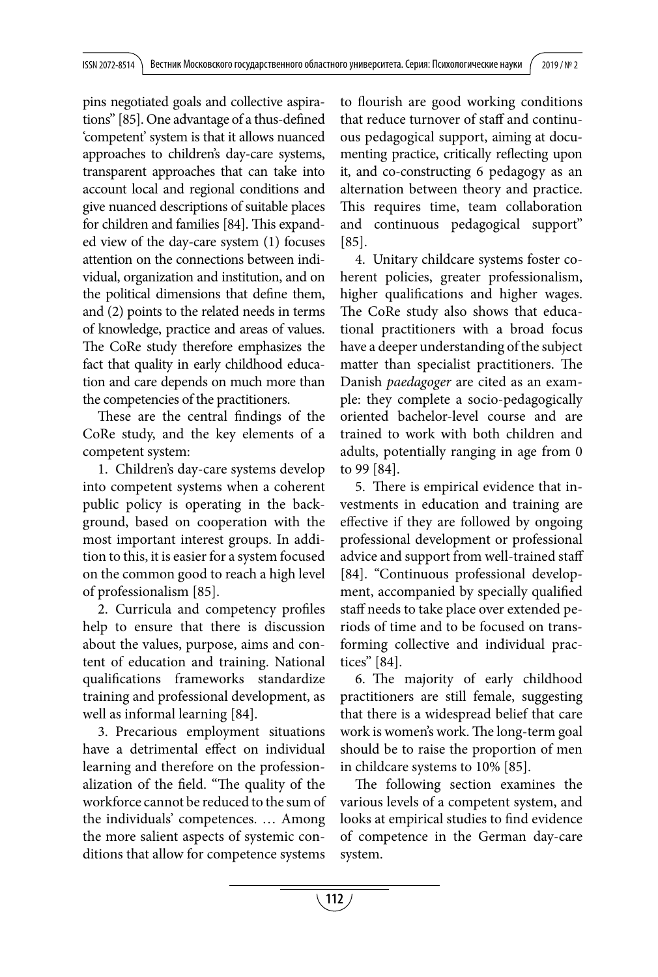pins negotiated goals and collective aspirations" [85]. One advantage of a thus-defined 'competent' system is that it allows nuanced approaches to children's day-care systems, transparent approaches that can take into account local and regional conditions and give nuanced descriptions of suitable places for children and families [84]. This expanded view of the day-care system (1) focuses attention on the connections between individual, organization and institution, and on the political dimensions that define them, and (2) points to the related needs in terms of knowledge, practice and areas of values. The CoRe study therefore emphasizes the fact that quality in early childhood education and care depends on much more than the competencies of the practitioners.

These are the central findings of the CoRe study, and the key elements of a competent system:

1. Children's day-care systems develop into competent systems when a coherent public policy is operating in the background, based on cooperation with the most important interest groups. In addition to this, it is easier for a system focused on the common good to reach a high level of professionalism [85].

2. Curricula and competency profiles help to ensure that there is discussion about the values, purpose, aims and content of education and training. National qualifications frameworks standardize training and professional development, as well as informal learning [84].

3. Precarious employment situations have a detrimental effect on individual learning and therefore on the professionalization of the field. "The quality of the workforce cannot be reduced to the sum of the individuals' competences. … Among the more salient aspects of systemic conditions that allow for competence systems to flourish are good working conditions that reduce turnover of staff and continuous pedagogical support, aiming at documenting practice, critically reflecting upon it, and co-constructing 6 pedagogy as an alternation between theory and practice. This requires time, team collaboration and continuous pedagogical support" [85].

4. Unitary childcare systems foster coherent policies, greater professionalism, higher qualifications and higher wages. The CoRe study also shows that educational practitioners with a broad focus have a deeper understanding of the subject matter than specialist practitioners. The Danish *paedagoger* are cited as an example: they complete a socio-pedagogically oriented bachelor-level course and are trained to work with both children and adults, potentially ranging in age from 0 to 99 [84].

5. There is empirical evidence that investments in education and training are effective if they are followed by ongoing professional development or professional advice and support from well-trained staff [84]. "Continuous professional development, accompanied by specially qualified staff needs to take place over extended periods of time and to be focused on transforming collective and individual practices" [84].

6. The majority of early childhood practitioners are still female, suggesting that there is a widespread belief that care work is women's work. The long-term goal should be to raise the proportion of men in childcare systems to 10% [85].

The following section examines the various levels of a competent system, and looks at empirical studies to find evidence of competence in the German day-care system.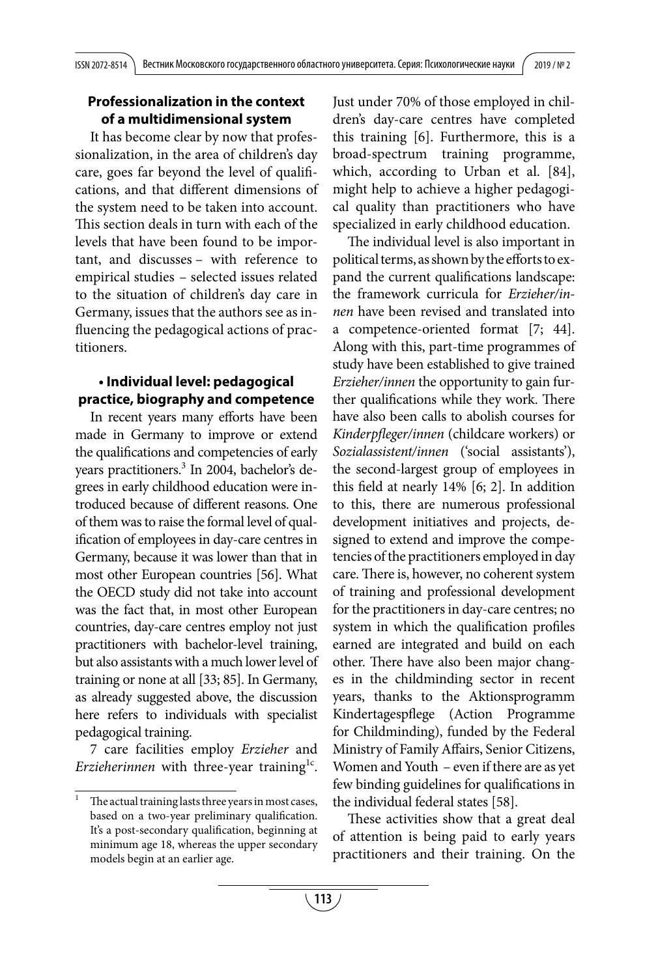#### **Professionalization in the context of a multidimensional system**

It has become clear by now that professionalization, in the area of children's day care, goes far beyond the level of qualifications, and that different dimensions of the system need to be taken into account. This section deals in turn with each of the levels that have been found to be important, and discusses – with reference to empirical studies – selected issues related to the situation of children's day care in Germany, issues that the authors see as influencing the pedagogical actions of practitioners.

## **• Individual level: pedagogical practice, biography and competence**

In recent years many efforts have been made in Germany to improve or extend the qualifications and competencies of early years practitioners. 3 In 2004, bachelor's degrees in early childhood education were introduced because of different reasons. One of them was to raise the formal level of qualification of employees in day-care centres in Germany, because it was lower than that in most other European countries [56]. What the OECD study did not take into account was the fact that, in most other European countries, day-care centres employ not just practitioners with bachelor-level training, but also assistants with a much lower level of training or none at all [33; 85]. In Germany, аs already suggested above, the discussion here refers to individuals with specialist pedagogical training.

7 care facilities employ *Erzieher* and *Erzieherinnen* with three-year training<sup>1c</sup>. Just under 70% of those employed in children's day-care centres have completed this training [6]. Furthermore, this is a broad-spectrum training programme, which, according to Urban et al. [84], might help to achieve a higher pedagogical quality than practitioners who have specialized in early childhood education.

The individual level is also important in political terms, as shown by the efforts to expand the current qualifications landscape: the framework curricula for *Erzieher/innen* have been revised and translated into a competence-oriented format [7; 44]. Along with this, part-time programmes of study have been established to give trained *Erzieher/innen* the opportunity to gain further qualifications while they work. There have also been calls to abolish courses for *Kinderpfleger/innen* (childcare workers) or *Sozialassistent/innen* ('social assistants'), the second-largest group of employees in this field at nearly 14% [6; 2]. In addition to this, there are numerous professional development initiatives and projects, designed to extend and improve the competencies of the practitioners employed in day care. There is, however, no coherent system of training and professional development for the practitioners in day-care centres; no system in which the qualification profiles earned are integrated and build on each other. There have also been major changes in the childminding sector in recent years, thanks to the Aktionsprogramm Kindertagespflege (Action Programme for Childminding), funded by the Federal Ministry of Family Affairs, Senior Citizens, Women and Youth – even if there are as yet few binding guidelines for qualifications in the individual federal states [58].

These activities show that a great deal of attention is being paid to early years practitioners and their training. On the

The actual training lasts three years in most cases, based on a two-year preliminary qualification. It's a post-secondary qualification, beginning at minimum age 18, whereas the upper secondary models begin at an earlier age.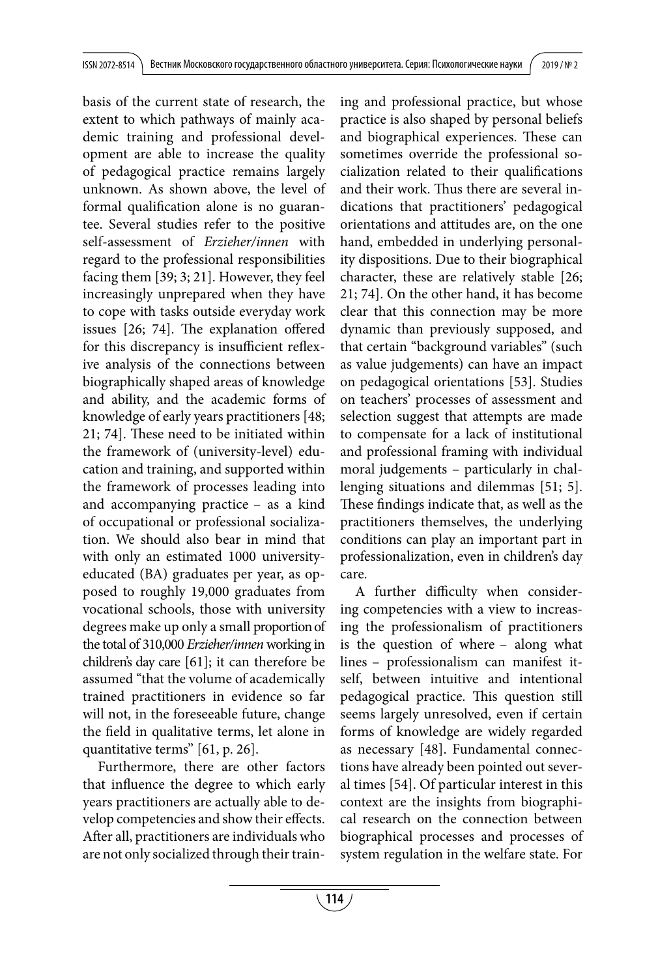basis of the current state of research, the extent to which pathways of mainly academic training and professional development are able to increase the quality of pedagogical practice remains largely unknown. As shown above, the level of formal qualification alone is no guarantee. Several studies refer to the positive self-assessment of *Erzieher/innen* with regard to the professional responsibilities facing them [39; 3; 21]. However, they feel increasingly unprepared when they have to cope with tasks outside everyday work issues [26; 74]. The explanation offered for this discrepancy is insufficient reflexive analysis of the connections between biographically shaped areas of knowledge and ability, and the academic forms of knowledge of early years practitioners [48; 21; 74]. These need to be initiated within the framework of (university-level) education and training, and supported within the framework of processes leading into and accompanying practice – as a kind of occupational or professional socialization. We should also bear in mind that with only an estimated 1000 universityeducated (BA) graduates per year, as opposed to roughly 19,000 graduates from vocational schools, those with university degrees make up only a small proportion of the total of 310,000 *Erzieher/innen* working in children's day care [61]; it can therefore be assumed "that the volume of academically trained practitioners in evidence so far will not, in the foreseeable future, change the field in qualitative terms, let alone in quantitative terms" [61, p. 26].

Furthermore, there are other factors that influence the degree to which early years practitioners are actually able to develop competencies and show their effects. After all, practitioners are individuals who are not only socialized through their training and professional practice, but whose practice is also shaped by personal beliefs and biographical experiences. These can sometimes override the professional socialization related to their qualifications and their work. Thus there are several indications that practitioners' pedagogical orientations and attitudes are, on the one hand, embedded in underlying personality dispositions. Due to their biographical character, these are relatively stable [26; 21; 74]. On the other hand, it has become clear that this connection may be more dynamic than previously supposed, and that certain "background variables" (such as value judgements) can have an impact on pedagogical orientations [53]. Studies on teachers' processes of assessment and selection suggest that attempts are made to compensate for a lack of institutional and professional framing with individual moral judgements – particularly in challenging situations and dilemmas [51; 5]. These findings indicate that, as well as the practitioners themselves, the underlying conditions can play an important part in professionalization, even in children's day care.

A further difficulty when considering competencies with a view to increasing the professionalism of practitioners is the question of where – along what lines – professionalism can manifest itself, between intuitive and intentional pedagogical practice. This question still seems largely unresolved, even if certain forms of knowledge are widely regarded as necessary [48]. Fundamental connections have already been pointed out several times [54]. Of particular interest in this context are the insights from biographical research on the connection between biographical processes and processes of system regulation in the welfare state. For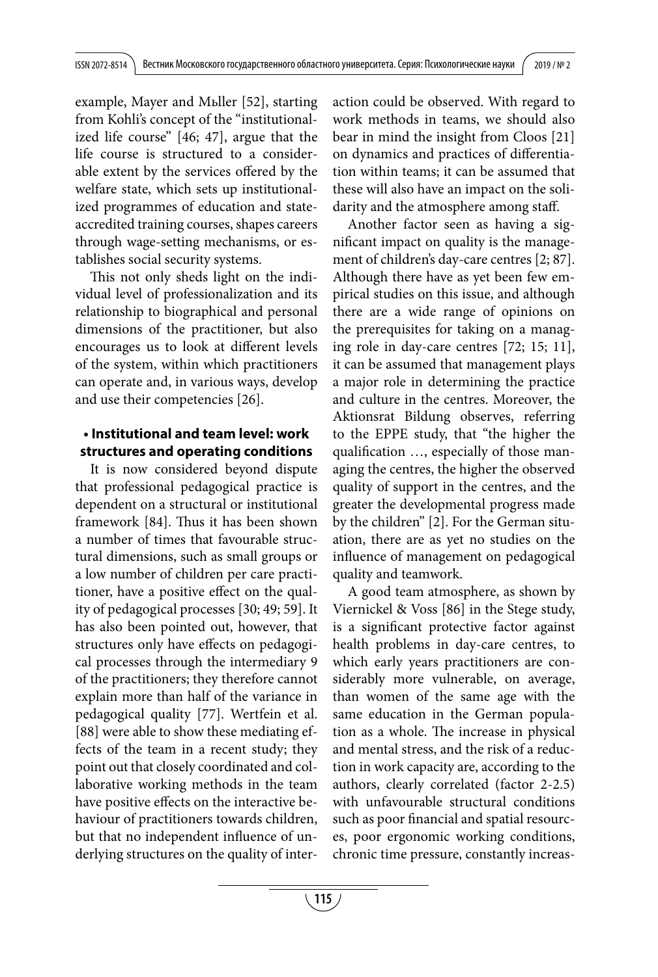example, Mayer and Mьller [52], starting from Kohli's concept of the "institutionalized life course" [46; 47], argue that the life course is structured to a considerable extent by the services offered by the welfare state, which sets up institutionalized programmes of education and stateaccredited training courses, shapes careers through wage-setting mechanisms, or establishes social security systems.

This not only sheds light on the individual level of professionalization and its relationship to biographical and personal dimensions of the practitioner, but also encourages us to look at different levels of the system, within which practitioners can operate and, in various ways, develop and use their competencies [26].

#### **• Institutional and team level: work structures and operating conditions**

It is now considered beyond dispute that professional pedagogical practice is dependent on a structural or institutional framework [84]. Thus it has been shown a number of times that favourable structural dimensions, such as small groups or a low number of children per care practitioner, have a positive effect on the quality of pedagogical processes [30; 49; 59]. It has also been pointed out, however, that structures only have effects on pedagogical processes through the intermediary 9 of the practitioners; they therefore cannot explain more than half of the variance in pedagogical quality [77]. Wertfein et al. [88] were able to show these mediating effects of the team in a recent study; they point out that closely coordinated and collaborative working methods in the team have positive effects on the interactive behaviour of practitioners towards children, but that no independent influence of underlying structures on the quality of interaction could be observed. With regard to work methods in teams, we should also bear in mind the insight from Cloos [21] on dynamics and practices of differentiation within teams; it can be assumed that these will also have an impact on the solidarity and the atmosphere among staff.

Another factor seen as having a significant impact on quality is the management of children's day-care centres [2; 87]. Although there have as yet been few empirical studies on this issue, and although there are a wide range of opinions on the prerequisites for taking on a managing role in day-care centres [72; 15; 11], it can be assumed that management plays a major role in determining the practice and culture in the centres. Moreover, the Aktionsrat Bildung observes, referring to the EPPE study, that "the higher the qualification …, especially of those managing the centres, the higher the observed quality of support in the centres, and the greater the developmental progress made by the children" [2]. For the German situation, there are as yet no studies on the influence of management on pedagogical quality and teamwork.

A good team atmosphere, as shown by Viernickel & Voss [86] in the Stege study, is a significant protective factor against health problems in day-care centres, to which early years practitioners are considerably more vulnerable, on average, than women of the same age with the same education in the German population as a whole. The increase in physical and mental stress, and the risk of a reduction in work capacity are, according to the authors, clearly correlated (factor 2-2.5) with unfavourable structural conditions such as poor financial and spatial resources, poor ergonomic working conditions, chronic time pressure, constantly increas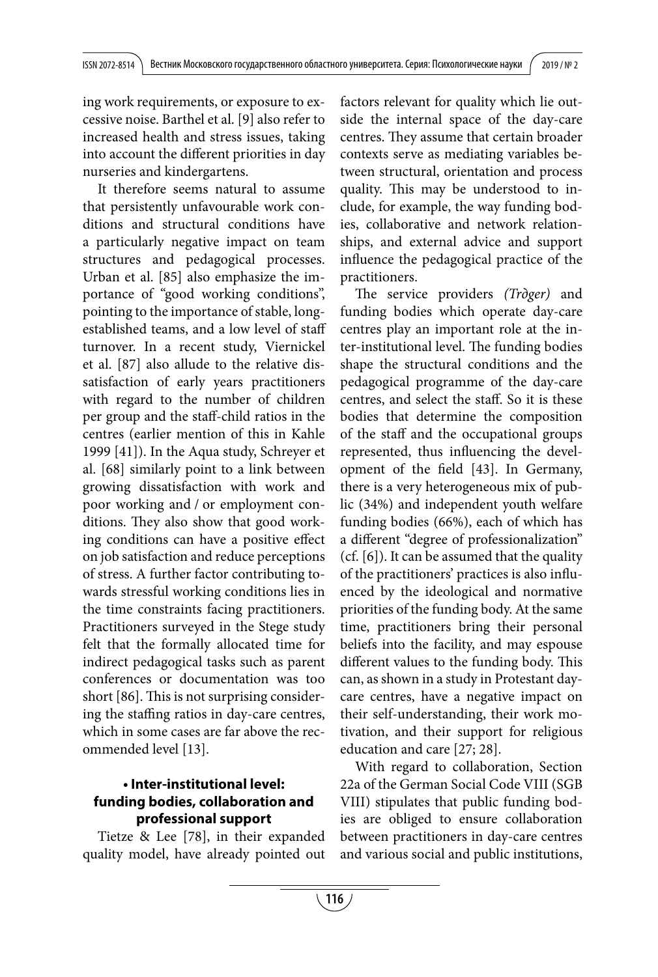ing work requirements, or exposure to excessive noise. Barthel et al. [9] also refer to increased health and stress issues, taking into account the different priorities in day nurseries and kindergartens.

It therefore seems natural to assume that persistently unfavourable work conditions and structural conditions have a particularly negative impact on team structures and pedagogical processes. Urban et al. [85] also emphasize the importance of "good working conditions", pointing to the importance of stable, longestablished teams, and a low level of staff turnover. In a recent study, Viernickel et al. [87] also allude to the relative dissatisfaction of early years practitioners with regard to the number of children per group and the staff-child ratios in the centres (earlier mention of this in Kahle 1999 [41]). In the Aqua study, Schreyer et al. [68] similarly point to a link between growing dissatisfaction with work and poor working and / or employment conditions. They also show that good working conditions can have a positive effect on job satisfaction and reduce perceptions of stress. A further factor contributing towards stressful working conditions lies in the time constraints facing practitioners. Practitioners surveyed in the Stege study felt that the formally allocated time for indirect pedagogical tasks such as parent conferences or documentation was too short [86]. This is not surprising considering the staffing ratios in day-care centres, which in some cases are far above the recommended level [13].

## **• Inter-institutional level: funding bodies, collaboration and professional support**

Tietze & Lee [78], in their expanded quality model, have already pointed out factors relevant for quality which lie outside the internal space of the day-care centres. They assume that certain broader contexts serve as mediating variables between structural, orientation and process quality. This may be understood to include, for example, the way funding bodies, collaborative and network relationships, and external advice and support influence the pedagogical practice of the practitioners.

The service providers *(Trдger)* and funding bodies which operate day-care centres play an important role at the inter-institutional level. The funding bodies shape the structural conditions and the pedagogical programme of the day-care centres, and select the staff. So it is these bodies that determine the composition of the staff and the occupational groups represented, thus influencing the development of the field [43]. In Germany, there is a very heterogeneous mix of public (34%) and independent youth welfare funding bodies (66%), each of which has a different "degree of professionalization" (cf. [6]). It can be assumed that the quality of the practitioners' practices is also influenced by the ideological and normative priorities of the funding body. At the same time, practitioners bring their personal beliefs into the facility, and may espouse different values to the funding body. This can, as shown in a study in Protestant daycare centres, have a negative impact on their self-understanding, their work motivation, and their support for religious education and care [27; 28].

With regard to collaboration, Section 22a of the German Social Code VIII (SGB VIII) stipulates that public funding bodies are obliged to ensure collaboration between practitioners in day-care centres and various social and public institutions,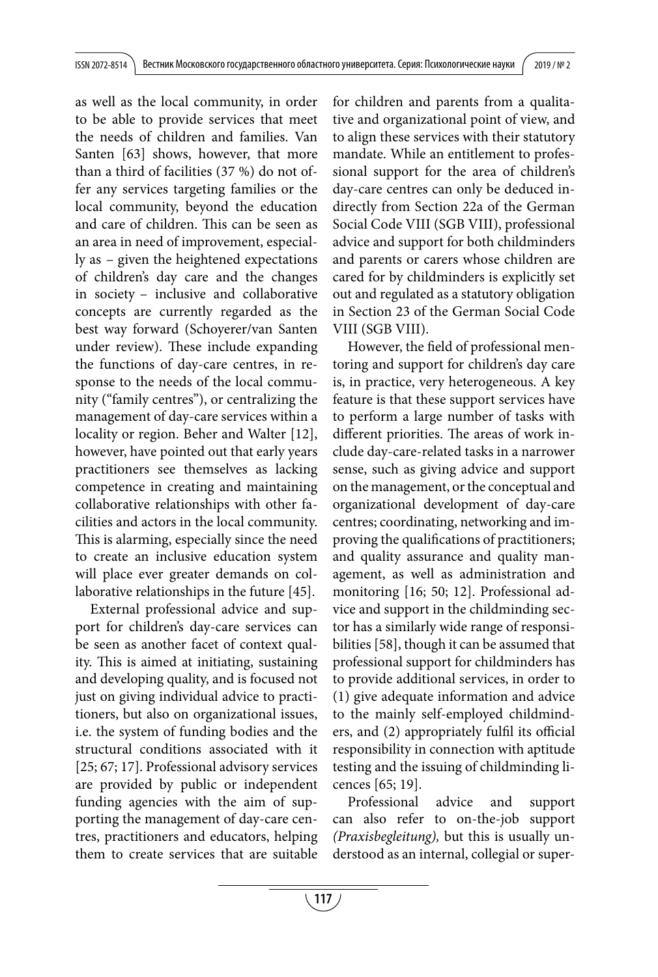as well as the local community, in order to be able to provide services that meet the needs of children and families. Van Santen [63] shows, however, that more than a third of facilities (37 %) do not offer any services targeting families or the local community, beyond the education and care of children. This can be seen as an area in need of improvement, especially as – given the heightened expectations of children's day care and the changes in society – inclusive and collaborative concepts are currently regarded as the best way forward (Schoyerer/van Santen under review). These include expanding the functions of day-care centres, in response to the needs of the local community ("family centres"), or centralizing the management of day-care services within a locality or region. Beher and Walter [12], however, have pointed out that early years practitioners see themselves as lacking competence in creating and maintaining collaborative relationships with other facilities and actors in the local community. This is alarming, especially since the need to create an inclusive education system will place ever greater demands on collaborative relationships in the future [45].

External professional advice and support for children's day-care services can be seen as another facet of context quality. This is aimed at initiating, sustaining and developing quality, and is focused not just on giving individual advice to practitioners, but also on organizational issues, i.e. the system of funding bodies and the structural conditions associated with it [25; 67; 17]. Professional advisory services are provided by public or independent funding agencies with the aim of supporting the management of day-care centres, practitioners and educators, helping them to create services that are suitable for children and parents from a qualitative and organizational point of view, and to align these services with their statutory mandate. While an entitlement to professional support for the area of children's day-care centres can only be deduced indirectly from Section 22a of the German Social Code VIII (SGB VIII), professional advice and support for both childminders and parents or carers whose children are cared for by childminders is explicitly set out and regulated as a statutory obligation in Section 23 of the German Social Code VIII (SGB VIII).

However, the field of professional mentoring and support for children's day care is, in practice, very heterogeneous. A key feature is that these support services have to perform a large number of tasks with different priorities. The areas of work include day-care-related tasks in a narrower sense, such as giving advice and support on the management, or the conceptual and organizational development of day-care centres; coordinating, networking and improving the qualifications of practitioners; and quality assurance and quality management, as well as administration and monitoring [16; 50; 12]. Professional advice and support in the childminding sector has a similarly wide range of responsibilities [58], though it can be assumed that professional support for childminders has to provide additional services, in order to (1) give adequate information and advice to the mainly self-employed childminders, and (2) appropriately fulfil its official responsibility in connection with aptitude testing and the issuing of childminding licences [65; 19].

Professional advice and support can also refer to on-the-job support *(Praxisbegleitung),* but this is usually understood as an internal, collegial or super-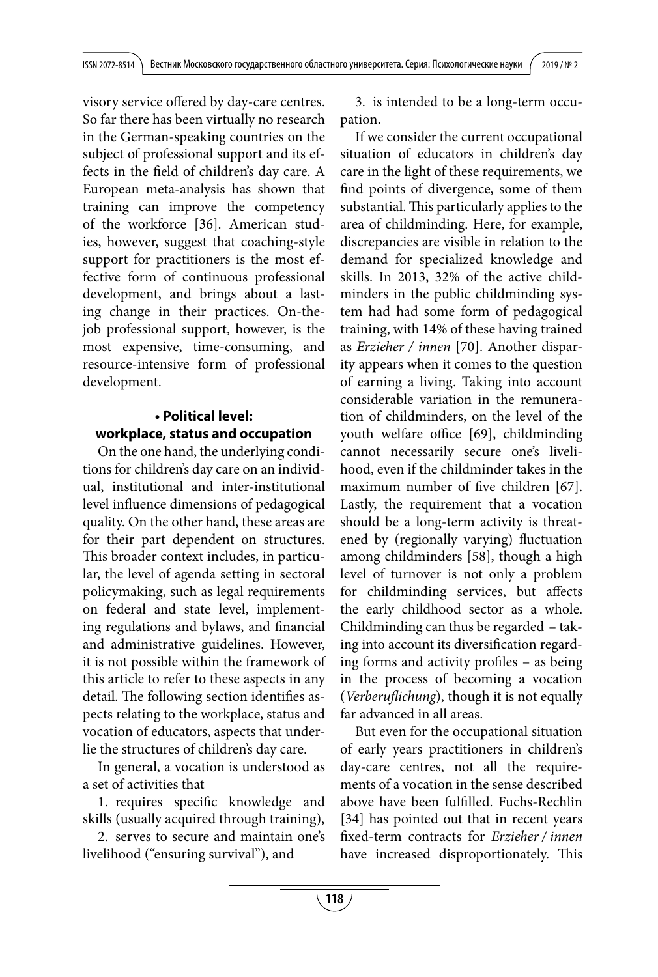visory service offered by day-care centres. So far there has been virtually no research in the German-speaking countries on the subject of professional support and its effects in the field of children's day care. A European meta-analysis has shown that training can improve the competency of the workforce [36]. American studies, however, suggest that coaching-style support for practitioners is the most effective form of continuous professional development, and brings about a lasting change in their practices. On-thejob professional support, however, is the most expensive, time-consuming, and resource-intensive form of professional development.

## **• Political level: workplace, status and occupation**

On the one hand, the underlying conditions for children's day care on an individual, institutional and inter-institutional level influence dimensions of pedagogical quality. On the other hand, these areas are for their part dependent on structures. This broader context includes, in particular, the level of agenda setting in sectoral policymaking, such as legal requirements on federal and state level, implementing regulations and bylaws, and financial and administrative guidelines. However, it is not possible within the framework of this article to refer to these aspects in any detail. The following section identifies aspects relating to the workplace, status and vocation of educators, aspects that underlie the structures of children's day care.

In general, a vocation is understood as a set of activities that

1. requires specific knowledge and skills (usually acquired through training),

2. serves to secure and maintain one's livelihood ("ensuring survival"), and

3. is intended to be a long-term occupation.

If we consider the current occupational situation of educators in children's day care in the light of these requirements, we find points of divergence, some of them substantial. This particularly applies to the area of childminding. Here, for example, discrepancies are visible in relation to the demand for specialized knowledge and skills. In 2013, 32% of the active childminders in the public childminding system had had some form of pedagogical training, with 14% of these having trained as *Erzieher / innen* [70]. Another disparity appears when it comes to the question of earning a living. Taking into account considerable variation in the remuneration of childminders, on the level of the youth welfare office [69], childminding cannot necessarily secure one's livelihood, even if the childminder takes in the maximum number of five children [67]. Lastly, the requirement that a vocation should be a long-term activity is threatened by (regionally varying) fluctuation among childminders [58], though a high level of turnover is not only a problem for childminding services, but affects the early childhood sector as a whole. Childminding can thus be regarded – taking into account its diversification regarding forms and activity profiles – as being in the process of becoming a vocation (*Verberuflichung*), though it is not equally far advanced in all areas.

But even for the occupational situation of early years practitioners in children's day-care centres, not all the requirements of a vocation in the sense described above have been fulfilled. Fuchs-Rechlin [34] has pointed out that in recent years fixed-term contracts for *Erzieher / innen*  have increased disproportionately. This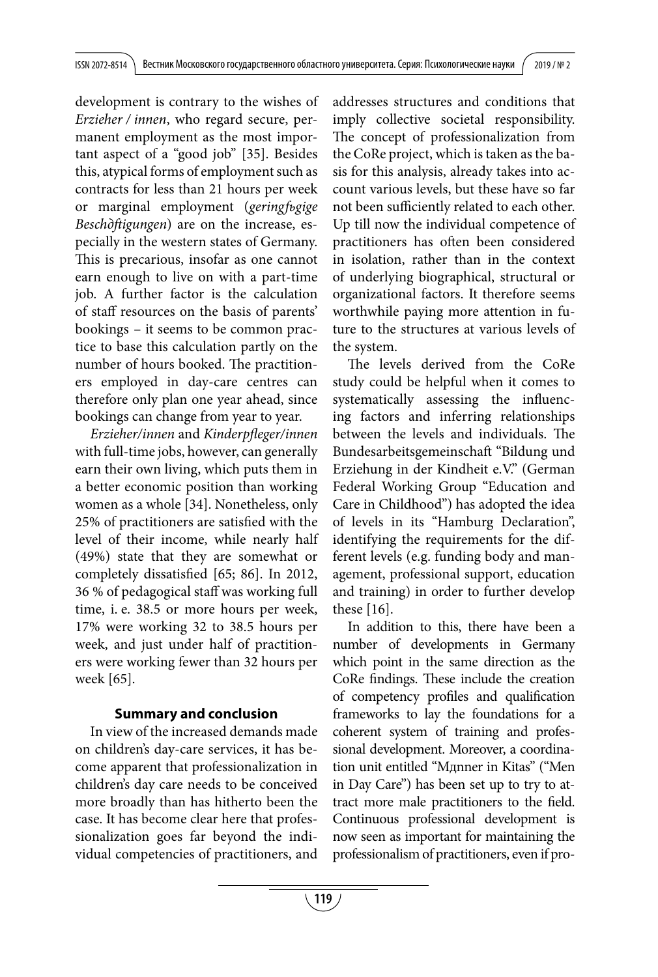development is contrary to the wishes of *Erzieher / innen*, who regard secure, permanent employment as the most important aspect of a "good job" [35]. Besides this, atypical forms of employment such as contracts for less than 21 hours per week or marginal employment (*geringfьgige Beschдftigungen*) are on the increase, especially in the western states of Germany. This is precarious, insofar as one cannot earn enough to live on with a part-time job. A further factor is the calculation of staff resources on the basis of parents' bookings – it seems to be common practice to base this calculation partly on the number of hours booked. The practitioners employed in day-care centres can therefore only plan one year ahead, since bookings can change from year to year.

*Erzieher/innen* and *Kinderpfleger/innen*  with full-time jobs, however, can generally earn their own living, which puts them in a better economic position than working women as a whole [34]. Nonetheless, only 25% of practitioners are satisfied with the level of their income, while nearly half (49%) state that they are somewhat or completely dissatisfied [65; 86]. In 2012, 36 % of pedagogical staff was working full time, i. e. 38.5 or more hours per week, 17% were working 32 to 38.5 hours per week, and just under half of practitioners were working fewer than 32 hours per week [65].

## **Summary and conclusion**

In view of the increased demands made on children's day-care services, it has become apparent that professionalization in children's day care needs to be conceived more broadly than has hitherto been the case. It has become clear here that professionalization goes far beyond the individual competencies of practitioners, and addresses structures and conditions that imply collective societal responsibility. The concept of professionalization from the CoRe project, which is taken as the basis for this analysis, already takes into account various levels, but these have so far not been sufficiently related to each other. Up till now the individual competence of practitioners has often been considered in isolation, rather than in the context of underlying biographical, structural or organizational factors. It therefore seems worthwhile paying more attention in future to the structures at various levels of the system.

The levels derived from the CoRe study could be helpful when it comes to systematically assessing the influencing factors and inferring relationships between the levels and individuals. The Bundesarbeitsgemeinschaft "Bildung und Erziehung in der Kindheit e.V." (German Federal Working Group "Education and Care in Childhood") has adopted the idea of levels in its "Hamburg Declaration", identifying the requirements for the different levels (e.g. funding body and management, professional support, education and training) in order to further develop these [16].

In addition to this, there have been a number of developments in Germany which point in the same direction as the CoRe findings. These include the creation of competency profiles and qualification frameworks to lay the foundations for a coherent system of training and professional development. Moreover, a coordination unit entitled "Mдnner in Kitas" ("Men in Day Care") has been set up to try to attract more male practitioners to the field. Continuous professional development is now seen as important for maintaining the professionalism of practitioners, even if pro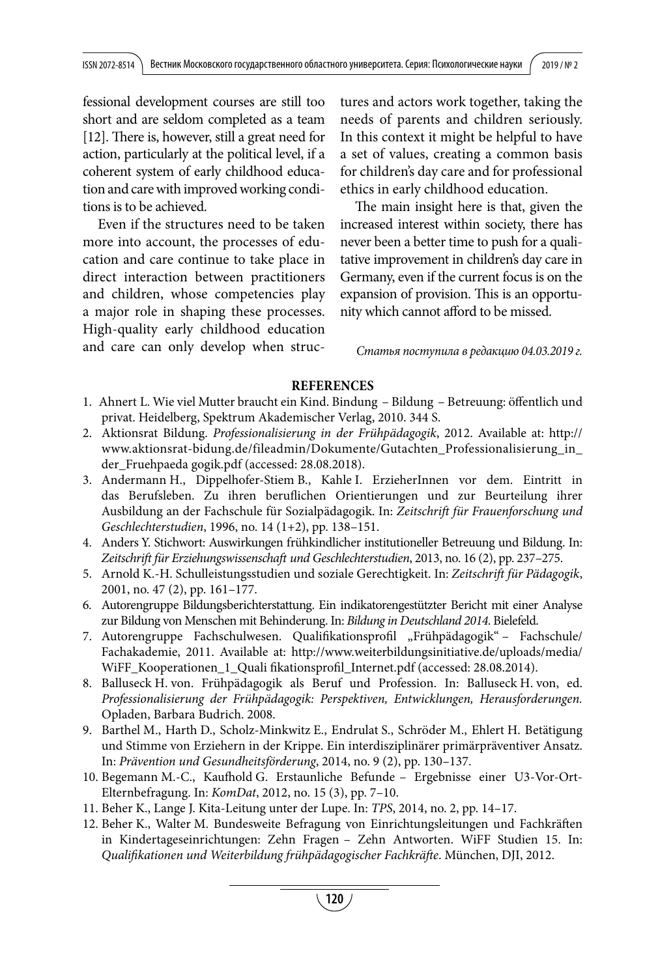fessional development courses are still too short and are seldom completed as a team [12]. There is, however, still a great need for action, particularly at the political level, if a coherent system of early childhood education and care with improved working conditions is to be achieved.

Even if the structures need to be taken more into account, the processes of education and care continue to take place in direct interaction between practitioners and children, whose competencies play a major role in shaping these processes. High-quality early childhood education and care can only develop when structures and actors work together, taking the needs of parents and children seriously. In this context it might be helpful to have a set of values, creating a common basis for children's day care and for professional ethics in early childhood education.

The main insight here is that, given the increased interest within society, there has never been a better time to push for a qualitative improvement in children's day care in Germany, even if the current focus is on the expansion of provision. This is an opportunity which cannot afford to be missed.

*Статья поступила в редакцию 04.03.2019 г.*

#### **REFERENCES**

- 1. Ahnert L. Wie viel Mutter braucht ein Kind. Bindung Bildung Betreuung: öffentlich und privat. Heidelberg, Spektrum Akademischer Verlag, 2010. 344 S.
- 2. Aktionsrat Bildung. *Professionalisierung in der Frühpädagogik*, 2012. Available at: http:// www.aktionsrat-bidung.de/fileadmin/Dokumente/Gutachten\_Professionalisierung\_in\_ der\_Fruehpaeda gogik.pdf (accessed: 28.08.2018).
- 3. Andermann H., Dippelhofer-Stiem B., Kahle I. ErzieherInnen vor dem. Eintritt in das Berufsleben. Zu ihren beruflichen Orientierungen und zur Beurteilung ihrer Ausbildung an der Fachschule für Sozialpädagogik. In: *Zeitschrift für Frauenforschung und Geschlechterstudien*, 1996, no. 14 (1+2), pp. 138–151.
- 4. Anders Y. Stichwort: Auswirkungen frühkindlicher institutioneller Betreuung und Bildung. In: *Zeitschrift für Erziehungswissenschaft und Geschlechterstudien*, 2013, no. 16 (2), pp. 237–275.
- 5. Arnold K.-H. Schulleistungsstudien und soziale Gerechtigkeit. In: *Zeitschrift für Pädagogik*, 2001, no. 47 (2), pp. 161–177.
- 6. Autorengruppe Bildungsberichterstattung. Ein indikatorengestützter Bericht mit einer Analyse zur Bildung von Menschen mit Behinderung. In: *Bildung in Deutschland 2014*. Bielefeld.
- 7. Autorengruppe Fachschulwesen. Qualifikationsprofil "Frühpädagogik" Fachschule/ Fachakademie, 2011. Available at: http://www.weiterbildungsinitiative.de/uploads/media/ WiFF\_Kooperationen\_1\_Quali fikationsprofil\_Internet.pdf (accessed: 28.08.2014).
- 8. Balluseck H. von. Frühpädagogik als Beruf und Profession. In: Balluseck H. von, ed. *Professionalisierung der Frühpädagogik: Perspektiven, Entwicklungen, Herausforderungen.*  Opladen, Barbara Budrich. 2008.
- 9. Barthel M., Harth D., Scholz-Minkwitz E., Endrulat S., Schröder M., Ehlert H. Betätigung und Stimme von Erziehern in der Krippe. Ein interdisziplinärer primärpräventiver Ansatz. In: *Prävention und Gesundheitsförderung*, 2014, no. 9 (2), pp. 130–137.
- 10. Begemann M.-C., Kaufhold G. Erstaunliche Befunde Ergebnisse einer U3-Vor-Ort-Elternbefragung. In: *KomDat*, 2012, no. 15 (3), pp. 7–10.
- 11. Beher K., Lange J. Kita-Leitung unter der Lupe. In: *TPS*, 2014, no. 2, pp. 14–17.
- 12. Beher K., Walter M. Bundesweite Befragung von Einrichtungsleitungen und Fachkräften in Kindertageseinrichtungen: Zehn Fragen – Zehn Antworten. WiFF Studien 15. In: *Qualifikationen und Weiterbildung frühpädagogischer Fachkräfte*. München, DJI, 2012.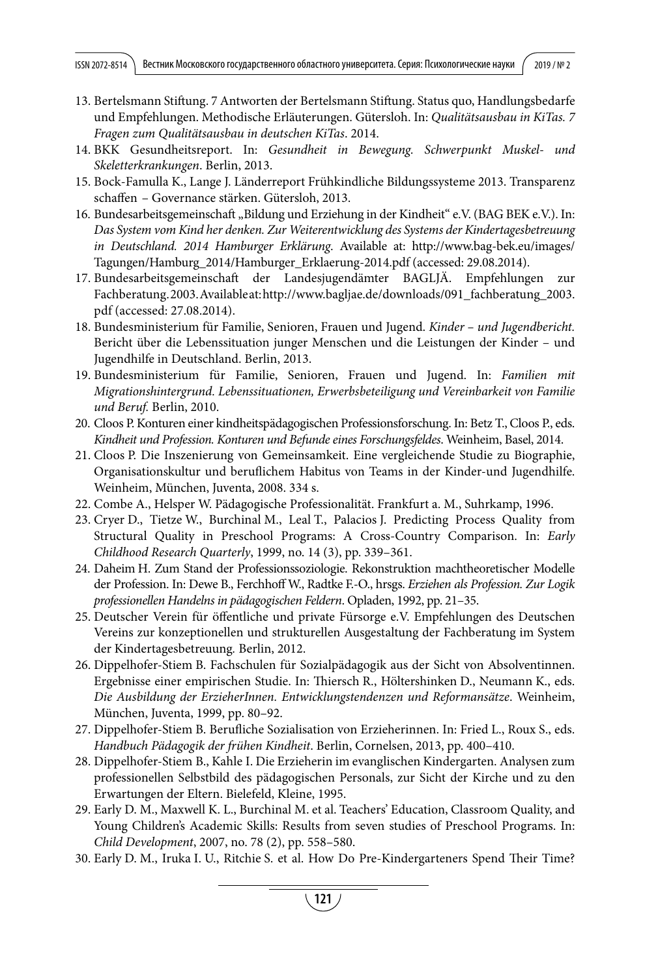- 13. Bertelsmann Stiftung. 7 Antworten der Bertelsmann Stiftung. Status quo, Handlungsbedarfe und Empfehlungen. Methodische Erläuterungen. Gütersloh. In: *Qualitätsausbau in KiTas. 7 Fragen zum Qualitätsausbau in deutschen KiTas*. 2014.
- 14. BKK Gesundheitsreport. In: *Gesundheit in Bewegung. Schwerpunkt Muskel- und Skeletterkrankungen*. Berlin, 2013.
- 15. Bock-Famulla K., Lange J. Länderreport Frühkindliche Bildungssysteme 2013. Transparenz schaffen – Governance stärken. Gütersloh, 2013.
- 16. Bundesarbeitsgemeinschaft "Bildung und Erziehung in der Kindheit" e.V. (BAG BEK e.V.). In: *Das System vom Kind her denken. Zur Weiterentwicklung des Systems der Kindertagesbetreuung in Deutschland. 2014 Hamburger Erklärung*. Available at: http://www.bag-bek.eu/images/ Tagungen/Hamburg\_2014/Hamburger\_Erklaerung-2014.pdf (accessed: 29.08.2014).
- 17. Bundesarbeitsgemeinschaft der Landesjugendämter BAGLJÄ. Empfehlungen zur Fachberatung. 2003. Available at: http://www.bagljae.de/downloads/091\_fachberatung\_2003. pdf (accessed: 27.08.2014).
- 18. Bundesministerium für Familie, Senioren, Frauen und Jugend. *Kinder und Jugendbericht.*  Bericht über die Lebenssituation junger Menschen und die Leistungen der Kinder – und Jugendhilfe in Deutschland. Berlin, 2013.
- 19. Bundesministerium für Familie, Senioren, Frauen und Jugend. In: *Familien mit Migrationshintergrund. Lebenssituationen, Erwerbsbeteiligung und Vereinbarkeit von Familie und Beruf.* Berlin, 2010.
- 20. Cloos P. Konturen einer kindheitspädagogischen Professionsforschung. In: Betz T., Cloos P., eds. *Kindheit und Profession. Konturen und Befunde eines Forschungsfeldes*. Weinheim, Basel, 2014.
- 21. Cloos P. Die Inszenierung von Gemeinsamkeit. Eine vergleichende Studie zu Biographie, Organisationskultur und beruflichem Habitus von Teams in der Kinder-und Jugendhilfe. Weinheim, München, Juventa, 2008. 334 s.
- 22. Combe A., Helsper W. Pädagogische Professionalität. Frankfurt a. M., Suhrkamp, 1996.
- 23. Cryer D., Tietze W., Burchinal M., Leal T., Palacios J. Predicting Process Quality from Structural Quality in Preschool Programs: A Cross-Country Comparison. In: *Early Childhood Research Quarterly*, 1999, no. 14 (3), pp. 339–361.
- 24. Daheim H. Zum Stand der Professionssoziologie. Rekonstruktion machtheoretischer Modelle der Profession. In: Dewe B., Ferchhoff W., Radtke F.-O., hrsgs. *Erziehen als Profession. Zur Logik professionellen Handelns in pädagogischen Feldern*. Opladen, 1992, pp. 21–35.
- 25. Deutscher Verein für öffentliche und private Fürsorge e.V. Empfehlungen des Deutschen Vereins zur konzeptionellen und strukturellen Ausgestaltung der Fachberatung im System der Kindertagesbetreuung*.* Berlin, 2012.
- 26. Dippelhofer-Stiem B. Fachschulen für Sozialpädagogik aus der Sicht von Absolventinnen. Ergebnisse einer empirischen Studie. In: Thiersch R., Höltershinken D., Neumann K., eds. *Die Ausbildung der ErzieherInnen. Entwicklungstendenzen und Reformansätze*. Weinheim, München, Juventa, 1999, pp. 80–92.
- 27. Dippelhofer-Stiem B. Berufliche Sozialisation von Erzieherinnen. In: Fried L., Roux S., eds. *Handbuch Pädagogik der frühen Kindheit*. Berlin, Cornelsen, 2013, pp. 400–410.
- 28. Dippelhofer-Stiem B., Kahle I. Die Erzieherin im evanglischen Kindergarten. Analysen zum professionellen Selbstbild des pädagogischen Personals, zur Sicht der Kirche und zu den Erwartungen der Eltern. Bielefeld, Kleine, 1995.
- 29. Early D. M., Maxwell K. L., Burchinal M. et al. Teachers' Education, Classroom Quality, and Young Children's Academic Skills: Results from seven studies of Preschool Programs. In: *Child Development*, 2007, no. 78 (2), pp. 558–580.
- 30. Early D. M., Iruka I. U., Ritchie S. et al. How Do Pre-Kindergarteners Spend Their Time?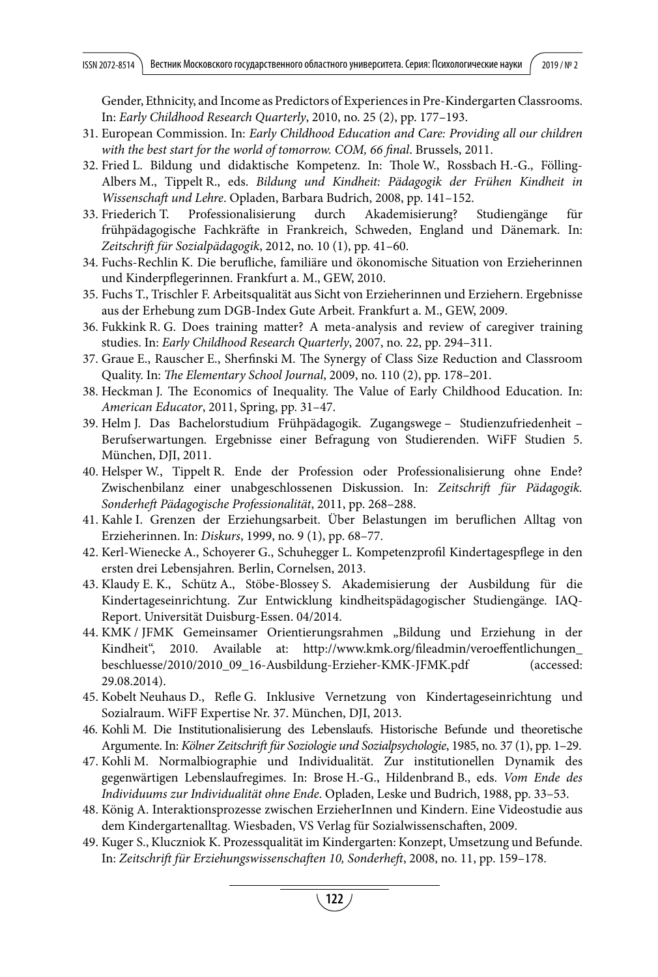Gender, Ethnicity, and Income as Predictors of Experiences in Pre-Kindergarten Classrooms. In: *Early Childhood Research Quarterly*, 2010, no. 25 (2), pp. 177–193.

- 31. European Commission. In: *Early Childhood Education and Care: Providing all our children with the best start for the world of tomorrow. COM, 66 final*. Brussels, 2011.
- 32. Fried L. Bildung und didaktische Kompetenz. In: Thole W., Rossbach H.-G., Fölling-Albers M., Tippelt R., eds. *Bildung und Kindheit: Pädagogik der Frühen Kindheit in Wissenschaft und Lehre*. Opladen, Barbara Budrich, 2008, pp. 141–152.
- 33. Friederich T. Professionalisierung durch Akademisierung? Studiengänge für frühpädagogische Fachkräfte in Frankreich, Schweden, England und Dänemark. In: *Zeitschrift für Sozialpädagogik*, 2012, no. 10 (1), pp. 41–60.
- 34. Fuchs-Rechlin K. Die berufliche, familiäre und ökonomische Situation von Erzieherinnen und Kinderpflegerinnen. Frankfurt a. M., GEW, 2010.
- 35. Fuchs T., Trischler F. Arbeitsqualität aus Sicht von Erzieherinnen und Erziehern. Ergebnisse aus der Erhebung zum DGB-Index Gute Arbeit. Frankfurt a. M., GEW, 2009.
- 36. Fukkink R. G. Does training matter? A meta-analysis and review of caregiver training studies. In: *Early Childhood Research Quarterly*, 2007, no. 22, pp. 294–311.
- 37. Graue E., Rauscher E., Sherfinski M. The Synergy of Class Size Reduction and Classroom Quality. In: *The Elementary School Journal*, 2009, no. 110 (2), pp. 178–201.
- 38. Heckman J. The Economics of Inequality. The Value of Early Childhood Education. In: *American Educator*, 2011, Spring, pp. 31–47.
- 39. Helm J. Das Bachelorstudium Frühpädagogik. Zugangswege Studienzufriedenheit Berufserwartungen*.* Ergebnisse einer Befragung von Studierenden. WiFF Studien 5. München, DJI, 2011.
- 40. Helsper W., Tippelt R. Ende der Profession oder Professionalisierung ohne Ende? Zwischenbilanz einer unabgeschlossenen Diskussion. In: *Zeitschrift für Pädagogik. Sonderheft Pädagogische Professionalität*, 2011, pp. 268–288.
- 41. Kahle I. Grenzen der Erziehungsarbeit. Über Belastungen im beruflichen Alltag von Erzieherinnen. In: *Diskurs*, 1999, no. 9 (1), pp. 68–77.
- 42. Kerl-Wienecke A., Schoyerer G., Schuhegger L. Kompetenzprofil Kindertagespflege in den ersten drei Lebensjahren*.* Berlin, Cornelsen, 2013.
- 43. Klaudy E. K., Schütz A., Stöbe-Blossey S. Akademisierung der Ausbildung für die Kindertageseinrichtung. Zur Entwicklung kindheitspädagogischer Studiengänge*.* IAQ-Report. Universität Duisburg-Essen. 04/2014.
- 44. KMK / JFMK Gemeinsamer Orientierungsrahmen "Bildung und Erziehung in der Kindheit", 2010. Available at: http://www.kmk.org/fileadmin/veroeffentlichungen\_ beschluesse/2010/2010\_09\_16-Ausbildung-Erzieher-KMK-JFMK.pdf (accessed: 29.08.2014).
- 45. Kobelt Neuhaus D., Refle G. Inklusive Vernetzung von Kindertageseinrichtung und Sozialraum. WiFF Expertise Nr. 37. München, DJI, 2013.
- 46. Kohli M. Die Institutionalisierung des Lebenslaufs. Historische Befunde und theoretische Argumente. In: *Kölner Zeitschrift für Soziologie und Sozialpsychologie*, 1985, no. 37 (1), pp. 1–29.
- 47. Kohli M. Normalbiographie und Individualität. Zur institutionellen Dynamik des gegenwärtigen Lebenslaufregimes. In: Brose H.-G., Hildenbrand B., eds. *Vom Ende des Individuums zur Individualität ohne Ende*. Opladen, Leske und Budrich, 1988, pp. 33–53.
- 48. König A. Interaktionsprozesse zwischen ErzieherInnen und Kindern. Eine Videostudie aus dem Kindergartenalltag. Wiesbaden, VS Verlag für Sozialwissenschaften, 2009.
- 49. Kuger S., Kluczniok K. Prozessqualität im Kindergarten: Konzept, Umsetzung und Befunde. In: *Zeitschrift für Erziehungswissenschaften 10, Sonderheft*, 2008, no. 11, pp. 159–178.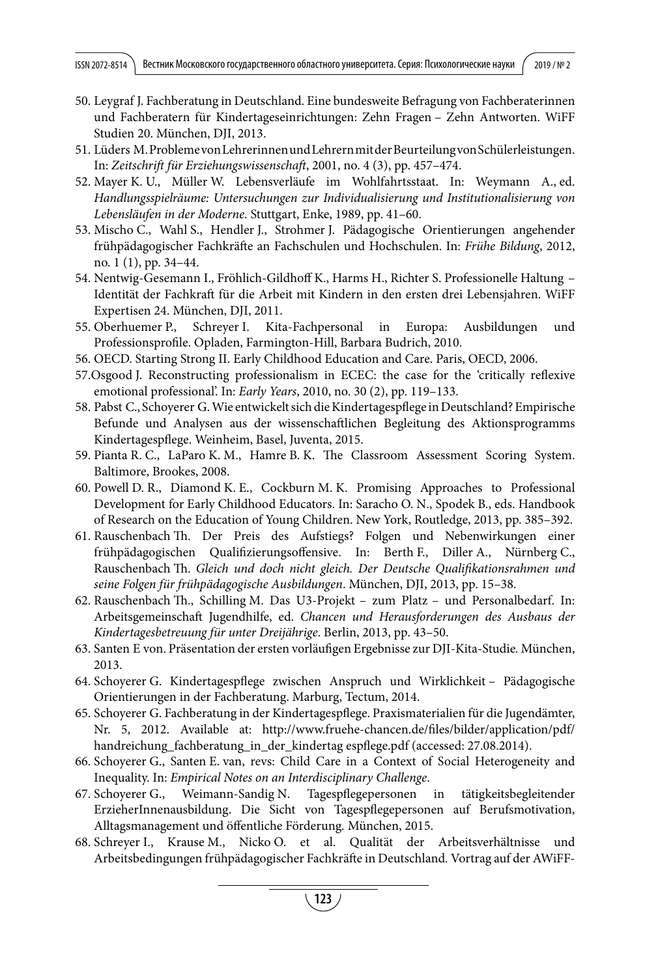- 50. Leygraf J. Fachberatung in Deutschland. Eine bundesweite Befragung von Fachberaterinnen und Fachberatern für Kindertageseinrichtungen: Zehn Fragen – Zehn Antworten. WiFF Studien 20. München, DJI, 2013.
- 51. Lüders M. Probleme von Lehrerinnen und Lehrern mit der Beurteilung von Schülerleistungen. In: *Zeitschrift für Erziehungswissenschaft*, 2001, no. 4 (3), pp. 457–474.
- 52. Mayer K. U., Müller W. Lebensverläufe im Wohlfahrtsstaat. In: Weymann A., ed. *Handlungsspielräume: Untersuchungen zur Individualisierung und Institutionalisierung von Lebensläufen in der Moderne*. Stuttgart, Enke, 1989, pp. 41–60.
- 53. Mischo C., Wahl S., Hendler J., Strohmer J. Pädagogische Orientierungen angehender frühpädagogischer Fachkräfte an Fachschulen und Hochschulen. In: *Frühe Bildung*, 2012, no. 1 (1), pp. 34–44.
- 54. Nentwig-Gesemann I., Fröhlich-Gildhoff K., Harms H., Richter S. Professionelle Haltung Identität der Fachkraft für die Arbeit mit Kindern in den ersten drei Lebensjahren. WiFF Expertisen 24. München, DJI, 2011.
- 55. Oberhuemer P., Schreyer I. Kita-Fachpersonal in Europa: Ausbildungen und Professionsprofile. Opladen, Farmington-Hill, Barbara Budrich, 2010.
- 56. OECD. Starting Strong II. Early Childhood Education and Care. Paris, OECD, 2006.
- 57.Osgood J. Reconstructing professionalism in ECEC: the case for the 'critically reflexive emotional professional'. In: *Early Years*, 2010, no. 30 (2), pp. 119–133.
- 58. Pabst C., Schoyerer G. Wie entwickelt sich die Kindertagespflege in Deutschland?Empirische Befunde und Analysen aus der wissenschaftlichen Begleitung des Aktionsprogramms Kindertagespflege. Weinheim, Basel, Juventa, 2015.
- 59. Pianta R. C., LaParo K. M., Hamre B. K. The Classroom Assessment Scoring System. Baltimore, Brookes, 2008.
- 60. Powell D. R., Diamond K. E., Cockburn M. K. Promising Approaches to Professional Development for Early Childhood Educators. In: Saracho O. N., Spodek B., eds. Handbook of Research on the Education of Young Children. New York, Routledge, 2013, pp. 385–392.
- 61. Rauschenbach Th. Der Preis des Aufstiegs? Folgen und Nebenwirkungen einer frühpädagogischen Qualifizierungsoffensive. In: Berth F., Diller A., Nürnberg C., Rauschenbach Th. *Gleich und doch nicht gleich. Der Deutsche Qualifikationsrahmen und seine Folgen für frühpädagogische Ausbildungen*. München, DJI, 2013, pp. 15–38.
- 62. Rauschenbach Th., Schilling M. Das U3-Projekt zum Platz und Personalbedarf. In: Arbeitsgemeinschaft Jugendhilfe, ed. *Chancen und Herausforderungen des Ausbaus der Kindertagesbetreuung für unter Dreijährige*. Berlin, 2013, pp. 43–50.
- 63. Santen E von. Präsentation der ersten vorläufigen Ergebnisse zur DJI-Kita-Studie*.* München, 2013.
- 64. Schoyerer G. Kindertagespflege zwischen Anspruch und Wirklichkeit Pädagogische Orientierungen in der Fachberatung. Marburg, Tectum, 2014.
- 65. Schoyerer G. Fachberatung in der Kindertagespflege. Praxismaterialien für die Jugendämter, Nr. 5, 2012. Available at: http://www.fruehe-chancen.de/files/bilder/application/pdf/ handreichung fachberatung in der kindertag espflege.pdf (accessed: 27.08.2014).
- 66. Schoyerer G., Santen E. van, revs: Child Care in a Context of Social Heterogeneity and Inequality. In: *Empirical Notes on an Interdisciplinary Challenge*.
- 67. Schoyerer G., Weimann-Sandig N. Tagespflegepersonen in tätigkeitsbegleitender ErzieherInnenausbildung. Die Sicht von Tagespflegepersonen auf Berufsmotivation, Alltagsmanagement und öffentliche Förderung*.* München, 2015.
- 68. Schreyer I., Krause M., Nicko O. et al. Qualität der Arbeitsverhältnisse und Arbeitsbedingungen frühpädagogischer Fachkräfte in Deutschland*.* Vortrag auf der AWiFF-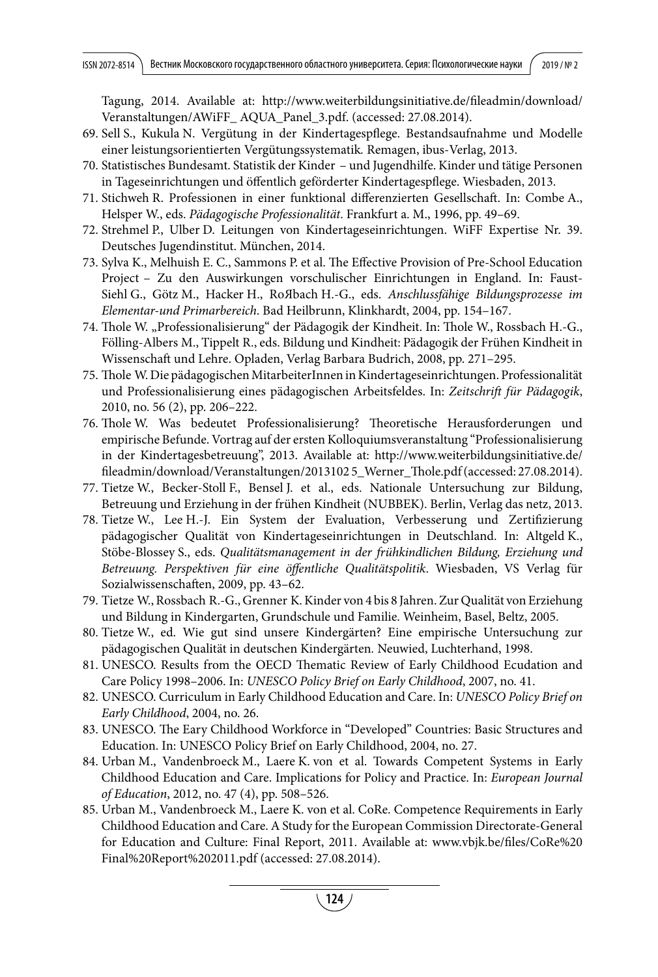Tagung, 2014. Available at: http://www.weiterbildungsinitiative.de/fileadmin/download/ Veranstaltungen/AWiFF\_ AQUA\_Panel\_3.pdf. (accessed: 27.08.2014).

- 69. Sell S., Kukula N. Vergütung in der Kindertagespflege. Bestandsaufnahme und Modelle einer leistungsorientierten Vergütungssystematik*.* Remagen, ibus-Verlag, 2013.
- 70. Statistisches Bundesamt. Statistik der Kinder und Jugendhilfe. Kinder und tätige Personen in Tageseinrichtungen und öffentlich geförderter Kindertagespflege. Wiesbaden, 2013.
- 71. Stichweh R. Professionen in einer funktional differenzierten Gesellschaft. In: Combe A., Helsper W., eds. *Pädagogische Professionalität*. Frankfurt a. M., 1996, pp. 49–69.
- 72. Strehmel P., Ulber D. Leitungen von Kindertageseinrichtungen. WiFF Expertise Nr. 39. Deutsches Jugendinstitut. München, 2014.
- 73. Sylva K., Melhuish E. C., Sammons P. et al. The Effective Provision of Pre-School Education Project – Zu den Auswirkungen vorschulischer Einrichtungen in England. In: Faust-Siehl G., Götz M., Hacker H., RoЯbach H.-G., eds. *Anschlussfähige Bildungsprozesse im Elementar-und Primarbereich*. Bad Heilbrunn, Klinkhardt, 2004, pp. 154–167.
- 74. Thole W. "Professionalisierung" der Pädagogik der Kindheit. In: Thole W., Rossbach H.-G., Fölling-Albers M., Tippelt R., eds. Bildung und Kindheit: Pädagogik der Frühen Kindheit in Wissenschaft und Lehre. Opladen, Verlag Barbara Budrich, 2008, pp. 271–295.
- 75. Thole W. Die pädagogischen MitarbeiterInnen in Kindertageseinrichtungen. Professionalität und Professionalisierung eines pädagogischen Arbeitsfeldes. In: *Zeitschrift für Pädagogik*, 2010, no. 56 (2), pp. 206–222.
- 76. Thole W. Was bedeutet Professionalisierung? Theoretische Herausforderungen und empirische Befunde. Vortrag auf der ersten Kolloquiumsveranstaltung "Professionalisierung in der Kindertagesbetreuung", 2013. Available at: http://www.weiterbildungsinitiative.de/ fileadmin/download/Veranstaltungen/2013102 5\_Werner\_Thole.pdf (accessed: 27.08.2014).
- 77. Tietze W., Becker-Stoll F., Bensel J. et al., eds. Nationale Untersuchung zur Bildung, Betreuung und Erziehung in der frühen Kindheit (NUBBEK). Berlin, Verlag das netz, 2013.
- 78. Tietze W., Lee H.-J. Ein System der Evaluation, Verbesserung und Zertifizierung pädagogischer Qualität von Kindertageseinrichtungen in Deutschland. In: Altgeld K., Stöbe-Blossey S., eds. *Qualitätsmanagement in der frühkindlichen Bildung, Erziehung und Betreuung. Perspektiven für eine öffentliche Qualitätspolitik*. Wiesbaden, VS Verlag für Sozialwissenschaften, 2009, pp. 43–62.
- 79. Tietze W., Rossbach R.-G., Grenner K. Kinder von 4 bis 8 Jahren. Zur Qualität von Erziehung und Bildung in Kindergarten, Grundschule und Familie. Weinheim, Basel, Beltz, 2005.
- 80. Tietze W., ed. Wie gut sind unsere Kindergärten? Eine empirische Untersuchung zur pädagogischen Qualität in deutschen Kindergärten*.* Neuwied, Luchterhand, 1998.
- 81. UNESCO. Results from the OECD Thematic Review of Early Childhood Ecudation and Care Policy 1998–2006. In: *UNESCO Policy Brief on Early Childhood*, 2007, no. 41.
- 82. UNESCO. Curriculum in Early Childhood Education and Care. In: *UNESCO Policy Brief on Early Childhood*, 2004, no. 26.
- 83. UNESCO. The Eary Childhood Workforce in "Developed" Countries: Basic Structures and Education. In: UNESCO Policy Brief on Early Childhood, 2004, no. 27.
- 84. Urban M., Vandenbroeck M., Laere K. von et al. Towards Competent Systems in Early Childhood Education and Care. Implications for Policy and Practice. In: *European Journal of Education*, 2012, no. 47 (4), pp. 508–526.
- 85. Urban M., Vandenbroeck M., Laere K. von et al. CoRe. Competence Requirements in Early Childhood Education and Care. A Study for the European Commission Directorate-General for Education and Culture: Final Report, 2011. Available at: www.vbjk.be/files/CoRe%20 Final%20Report%202011.pdf (accessed: 27.08.2014).